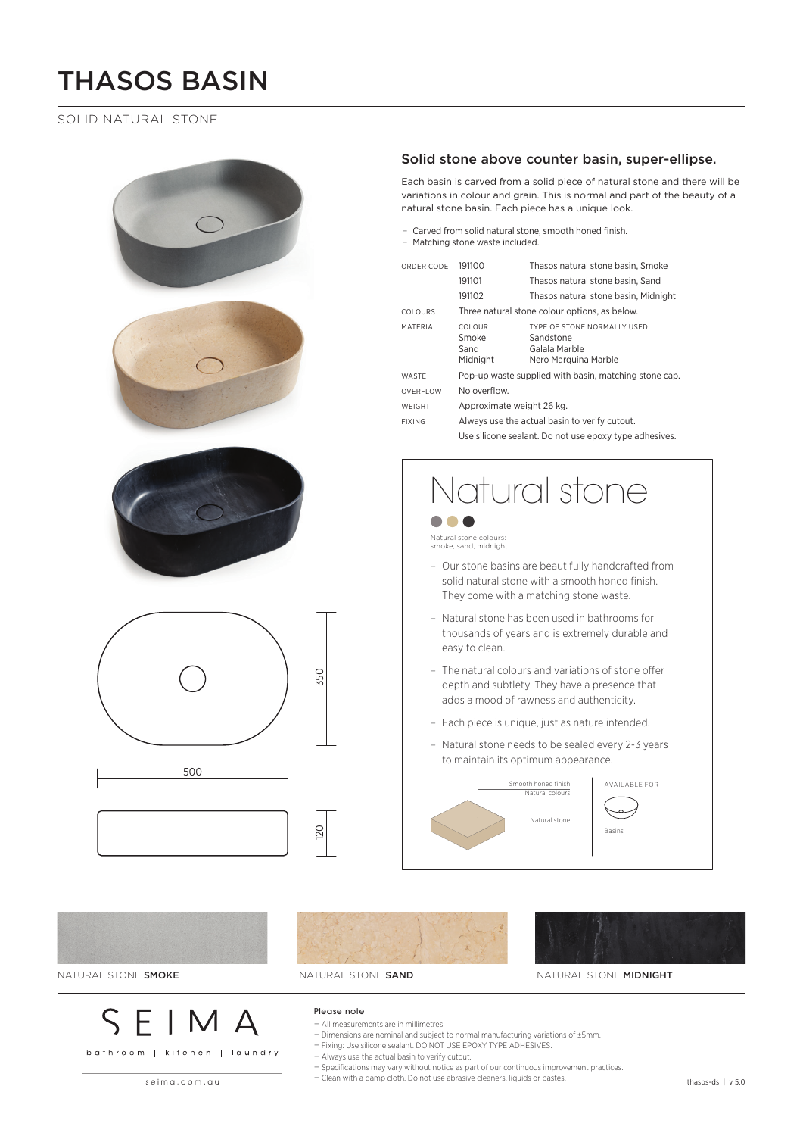# THASOS BASIN

### SOLID NATURAL STONE









NATURAL STONE SMOKE NATURAL STONE SAND NATURAL STONE MIDNIGHT

### Please note

− All measurements are in millimetres.

- − Dimensions are nominal and subject to normal manufacturing variations of ±5mm.
- − Fixing: Use silicone sealant. DO NOT USE EPOXY TYPE ADHESIVES.

− Always use the actual basin to verify cutout.

- − Specifications may vary without notice as part of our continuous improvement practices.
- seima.com.au thasos-ds | v 5.0 − Clean with a damp cloth. Do not use abrasive cleaners, liquids or pastes.